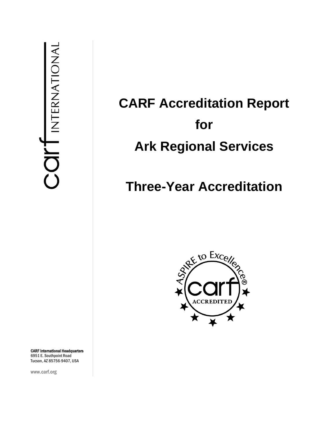# **CARF Accreditation Report for Ark Regional Services**

## **Three-Year Accreditation**



CARF International Headquarters 6951 E. Southpoint Road Tucson, AZ 85756-9407, USA

www.carf.org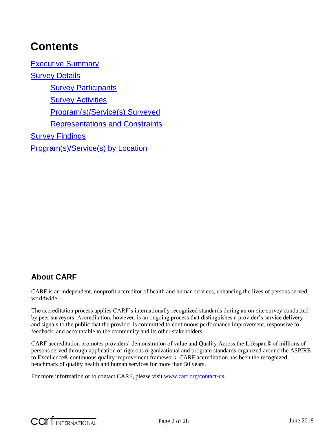## **Contents**

[Executive Summary](#page-3-0) [Survey Details](#page-4-0) **[Survey Participants](#page-4-1)** [Survey Activities](#page-4-2) [Program\(s\)/Service\(s\) Surveyed](#page-5-0) [Representations and Constraints](#page-5-1) **[Survey Findings](#page-5-2)** [Program\(s\)/Service\(s\) by Location](#page-25-0)

## **About CARF**

CARF is an independent, nonprofit accreditor of health and human services, enhancing the lives of persons served worldwide.

The accreditation process applies CARF's internationally recognized standards during an on-site survey conducted by peer surveyors. Accreditation, however, is an ongoing process that distinguishes a provider's service delivery and signals to the public that the provider is committed to continuous performance improvement, responsive to feedback, and accountable to the community and its other stakeholders.

CARF accreditation promotes providers' demonstration of value and Quality Across the Lifespan® of millions of persons served through application of rigorous organizational and program standards organized around the ASPIRE to Excellence® continuous quality improvement framework. CARF accreditation has been the recognized benchmark of quality health and human services for more than 50 years.

For more information or to contact CARF, please visit [www.carf.org/contact-us.](http://www.carf.org/contact-us)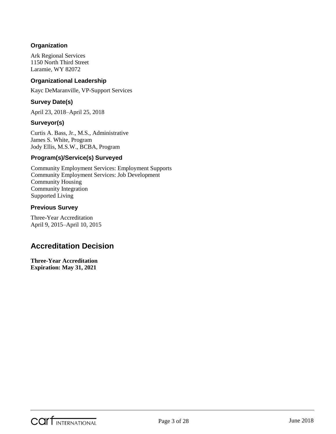#### **Organization**

Ark Regional Services 1150 North Third Street Laramie, WY 82072

#### **Organizational Leadership**

Kayc DeMaranville, VP-Support Services

#### **Survey Date(s)**

April 23, 2018–April 25, 2018

#### **Surveyor(s)**

Curtis A. Bass, Jr., M.S., Administrative James S. White, Program Jody Ellis, M.S.W., BCBA, Program

#### **Program(s)/Service(s) Surveyed**

Community Employment Services: Employment Supports Community Employment Services: Job Development Community Housing Community Integration Supported Living

#### **Previous Survey**

Three-Year Accreditation April 9, 2015–April 10, 2015

### **Accreditation Decision**

**Three-Year Accreditation Expiration: May 31, 2021**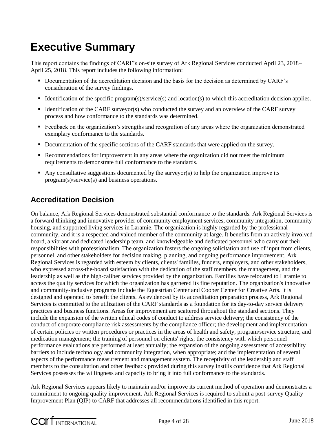## <span id="page-3-0"></span>**Executive Summary**

This report contains the findings of CARF's on-site survey of Ark Regional Services conducted April 23, 2018– April 25, 2018. This report includes the following information:

- Documentation of the accreditation decision and the basis for the decision as determined by CARF's consideration of the survey findings.
- Identification of the specific program(s)/service(s) and location(s) to which this accreditation decision applies.
- Identification of the CARF surveyor(s) who conducted the survey and an overview of the CARF survey process and how conformance to the standards was determined.
- Feedback on the organization's strengths and recognition of any areas where the organization demonstrated exemplary conformance to the standards.
- Documentation of the specific sections of the CARF standards that were applied on the survey.
- Recommendations for improvement in any areas where the organization did not meet the minimum requirements to demonstrate full conformance to the standards.
- Any consultative suggestions documented by the surveyor(s) to help the organization improve its program(s)/service(s) and business operations.

## **Accreditation Decision**

On balance, Ark Regional Services demonstrated substantial conformance to the standards. Ark Regional Services is a forward-thinking and innovative provider of community employment services, community integration, community housing, and supported living services in Laramie. The organization is highly regarded by the professional community, and it is a respected and valued member of the community at large. It benefits from an actively involved board, a vibrant and dedicated leadership team, and knowledgeable and dedicated personnel who carry out their responsibilities with professionalism. The organization fosters the ongoing solicitation and use of input from clients, personnel, and other stakeholders for decision making, planning, and ongoing performance improvement. Ark Regional Services is regarded with esteem by clients, clients' families, funders, employers, and other stakeholders, who expressed across-the-board satisfaction with the dedication of the staff members, the management, and the leadership as well as the high-caliber services provided by the organization. Families have relocated to Laramie to access the quality services for which the organization has garnered its fine reputation. The organization's innovative and community-inclusive programs include the Equestrian Center and Cooper Center for Creative Arts. It is designed and operated to benefit the clients. As evidenced by its accreditation preparation process, Ark Regional Services is committed to the utilization of the CARF standards as a foundation for its day-to-day service delivery practices and business functions. Areas for improvement are scattered throughout the standard sections. They include the expansion of the written ethical codes of conduct to address service delivery; the consistency of the conduct of corporate compliance risk assessments by the compliance officer; the development and implementation of certain policies or written procedures or practices in the areas of health and safety, program/service structure, and medication management; the training of personnel on clients' rights; the consistency with which personnel performance evaluations are performed at least annually; the expansion of the ongoing assessment of accessibility barriers to include technology and community integration, when appropriate; and the implementation of several aspects of the performance measurement and management system. The receptivity of the leadership and staff members to the consultation and other feedback provided during this survey instills confidence that Ark Regional Services possesses the willingness and capacity to bring it into full conformance to the standards.

Ark Regional Services appears likely to maintain and/or improve its current method of operation and demonstrates a commitment to ongoing quality improvement. Ark Regional Services is required to submit a post-survey Quality Improvement Plan (QIP) to CARF that addresses all recommendations identified in this report.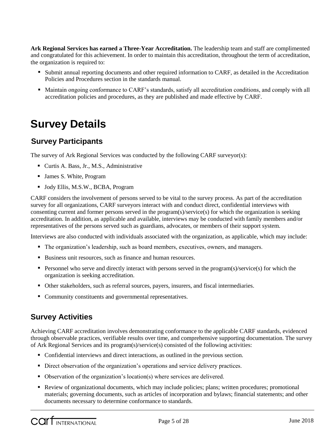**Ark Regional Services has earned a Three-Year Accreditation.** The leadership team and staff are complimented and congratulated for this achievement. In order to maintain this accreditation, throughout the term of accreditation, the organization is required to:

- Submit annual reporting documents and other required information to CARF, as detailed in the Accreditation Policies and Procedures section in the standards manual.
- Maintain ongoing conformance to CARF's standards, satisfy all accreditation conditions, and comply with all accreditation policies and procedures, as they are published and made effective by CARF.

## <span id="page-4-0"></span>**Survey Details**

## <span id="page-4-1"></span>**Survey Participants**

The survey of Ark Regional Services was conducted by the following CARF surveyor(s):

- Curtis A. Bass, Jr., M.S., Administrative
- James S. White, Program
- Jody Ellis, M.S.W., BCBA, Program

CARF considers the involvement of persons served to be vital to the survey process. As part of the accreditation survey for all organizations, CARF surveyors interact with and conduct direct, confidential interviews with consenting current and former persons served in the program(s)/service(s) for which the organization is seeking accreditation. In addition, as applicable and available, interviews may be conducted with family members and/or representatives of the persons served such as guardians, advocates, or members of their support system.

Interviews are also conducted with individuals associated with the organization, as applicable, which may include:

- The organization's leadership, such as board members, executives, owners, and managers.
- Business unit resources, such as finance and human resources.
- **Personnel who serve and directly interact with persons served in the program(s)/service(s) for which the** organization is seeking accreditation.
- Other stakeholders, such as referral sources, payers, insurers, and fiscal intermediaries.
- Community constituents and governmental representatives.

## <span id="page-4-2"></span>**Survey Activities**

Achieving CARF accreditation involves demonstrating conformance to the applicable CARF standards, evidenced through observable practices, verifiable results over time, and comprehensive supporting documentation. The survey of Ark Regional Services and its program(s)/service(s) consisted of the following activities:

- Confidential interviews and direct interactions, as outlined in the previous section.
- Direct observation of the organization's operations and service delivery practices.
- Observation of the organization's location(s) where services are delivered.
- Review of organizational documents, which may include policies; plans; written procedures; promotional materials; governing documents, such as articles of incorporation and bylaws; financial statements; and other documents necessary to determine conformance to standards.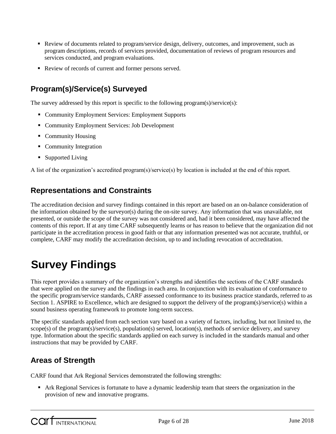- Review of documents related to program/service design, delivery, outcomes, and improvement, such as program descriptions, records of services provided, documentation of reviews of program resources and services conducted, and program evaluations.
- Review of records of current and former persons served.

## <span id="page-5-0"></span>**Program(s)/Service(s) Surveyed**

The survey addressed by this report is specific to the following program(s)/service(s):

- Community Employment Services: Employment Supports
- Community Employment Services: Job Development
- Community Housing
- Community Integration
- Supported Living

A list of the organization's accredited program(s)/service(s) by location is included at the end of this report.

### <span id="page-5-1"></span>**Representations and Constraints**

The accreditation decision and survey findings contained in this report are based on an on-balance consideration of the information obtained by the surveyor(s) during the on-site survey. Any information that was unavailable, not presented, or outside the scope of the survey was not considered and, had it been considered, may have affected the contents of this report. If at any time CARF subsequently learns or has reason to believe that the organization did not participate in the accreditation process in good faith or that any information presented was not accurate, truthful, or complete, CARF may modify the accreditation decision, up to and including revocation of accreditation.

## <span id="page-5-2"></span>**Survey Findings**

This report provides a summary of the organization's strengths and identifies the sections of the CARF standards that were applied on the survey and the findings in each area. In conjunction with its evaluation of conformance to the specific program/service standards, CARF assessed conformance to its business practice standards, referred to as Section 1. ASPIRE to Excellence, which are designed to support the delivery of the program(s)/service(s) within a sound business operating framework to promote long-term success.

The specific standards applied from each section vary based on a variety of factors, including, but not limited to, the scope(s) of the program(s)/service(s), population(s) served, location(s), methods of service delivery, and survey type. Information about the specific standards applied on each survey is included in the standards manual and other instructions that may be provided by CARF.

## **Areas of Strength**

CARF found that Ark Regional Services demonstrated the following strengths:

 Ark Regional Services is fortunate to have a dynamic leadership team that steers the organization in the provision of new and innovative programs.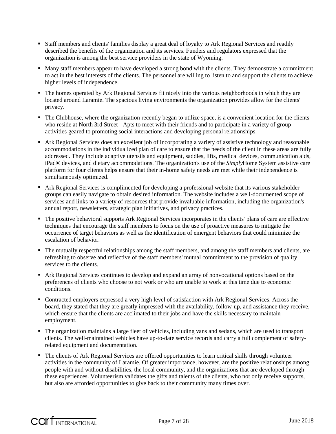- **Staff members and clients' families display a great deal of loyalty to Ark Regional Services and readily** described the benefits of the organization and its services. Funders and regulators expressed that the organization is among the best service providers in the state of Wyoming.
- Many staff members appear to have developed a strong bond with the clients. They demonstrate a commitment to act in the best interests of the clients. The personnel are willing to listen to and support the clients to achieve higher levels of independence.
- The homes operated by Ark Regional Services fit nicely into the various neighborhoods in which they are located around Laramie. The spacious living environments the organization provides allow for the clients' privacy.
- The Clubhouse, where the organization recently began to utilize space, is a convenient location for the clients who reside at North 3rd Street - Apts to meet with their friends and to participate in a variety of group activities geared to promoting social interactions and developing personal relationships.
- Ark Regional Services does an excellent job of incorporating a variety of assistive technology and reasonable accommodations in the individualized plan of care to ensure that the needs of the client in these areas are fully addressed. They include adaptive utensils and equipment, saddles, lifts, medical devices, communication aids, iPad® devices, and dietary accommodations. The organization's use of the *Simply*Home System assistive care platform for four clients helps ensure that their in-home safety needs are met while their independence is simultaneously optimized.
- Ark Regional Services is complimented for developing a professional website that its various stakeholder groups can easily navigate to obtain desired information. The website includes a well-documented scope of services and links to a variety of resources that provide invaluable information, including the organization's annual report, newsletters, strategic plan initiatives, and privacy practices.
- The positive behavioral supports Ark Regional Services incorporates in the clients' plans of care are effective techniques that encourage the staff members to focus on the use of proactive measures to mitigate the occurrence of target behaviors as well as the identification of emergent behaviors that could minimize the escalation of behavior.
- The mutually respectful relationships among the staff members, and among the staff members and clients, are refreshing to observe and reflective of the staff members' mutual commitment to the provision of quality services to the clients.
- Ark Regional Services continues to develop and expand an array of nonvocational options based on the preferences of clients who choose to not work or who are unable to work at this time due to economic conditions.
- Contracted employers expressed a very high level of satisfaction with Ark Regional Services. Across the board, they stated that they are greatly impressed with the availability, follow-up, and assistance they receive, which ensure that the clients are acclimated to their jobs and have the skills necessary to maintain employment.
- The organization maintains a large fleet of vehicles, including vans and sedans, which are used to transport clients. The well-maintained vehicles have up-to-date service records and carry a full complement of safetyrelated equipment and documentation.
- The clients of Ark Regional Services are offered opportunities to learn critical skills through volunteer activities in the community of Laramie. Of greater importance, however, are the positive relationships among people with and without disabilities, the local community, and the organizations that are developed through these experiences. Volunteerism validates the gifts and talents of the clients, who not only receive supports, but also are afforded opportunities to give back to their community many times over.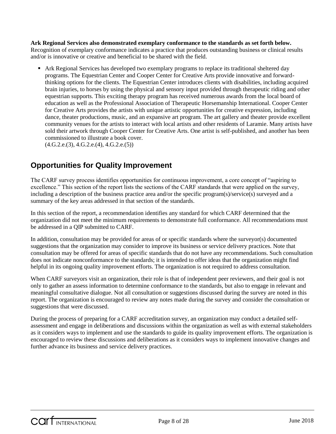**Ark Regional Services also demonstrated exemplary conformance to the standards as set forth below.**  Recognition of exemplary conformance indicates a practice that produces outstanding business or clinical results and/or is innovative or creative and beneficial to be shared with the field.

 Ark Regional Services has developed two exemplary programs to replace its traditional sheltered day programs. The Equestrian Center and Cooper Center for Creative Arts provide innovative and forwardthinking options for the clients. The Equestrian Center introduces clients with disabilities, including acquired brain injuries, to horses by using the physical and sensory input provided through therapeutic riding and other equestrian supports. This exciting therapy program has received numerous awards from the local board of education as well as the Professional Association of Therapeutic Horsemanship International. Cooper Center for Creative Arts provides the artists with unique artistic opportunities for creative expression, including dance, theater productions, music, and an expansive art program. The art gallery and theater provide excellent community venues for the artists to interact with local artists and other residents of Laramie. Many artists have sold their artwork through Cooper Center for Creative Arts. One artist is self-published, and another has been commissioned to illustrate a book cover.

 $(4.G.2.e.(3), 4.G.2.e.(4), 4.G.2.e.(5))$ 

## **Opportunities for Quality Improvement**

The CARF survey process identifies opportunities for continuous improvement, a core concept of "aspiring to excellence." This section of the report lists the sections of the CARF standards that were applied on the survey, including a description of the business practice area and/or the specific program(s)/service(s) surveyed and a summary of the key areas addressed in that section of the standards.

In this section of the report, a recommendation identifies any standard for which CARF determined that the organization did not meet the minimum requirements to demonstrate full conformance. All recommendations must be addressed in a QIP submitted to CARF.

In addition, consultation may be provided for areas of or specific standards where the surveyor(s) documented suggestions that the organization may consider to improve its business or service delivery practices. Note that consultation may be offered for areas of specific standards that do not have any recommendations. Such consultation does not indicate nonconformance to the standards; it is intended to offer ideas that the organization might find helpful in its ongoing quality improvement efforts. The organization is not required to address consultation.

When CARF surveyors visit an organization, their role is that of independent peer reviewers, and their goal is not only to gather an assess information to determine conformance to the standards, but also to engage in relevant and meaningful consultative dialogue. Not all consultation or suggestions discussed during the survey are noted in this report. The organization is encouraged to review any notes made during the survey and consider the consultation or suggestions that were discussed.

During the process of preparing for a CARF accreditation survey, an organization may conduct a detailed selfassessment and engage in deliberations and discussions within the organization as well as with external stakeholders as it considers ways to implement and use the standards to guide its quality improvement efforts. The organization is encouraged to review these discussions and deliberations as it considers ways to implement innovative changes and further advance its business and service delivery practices.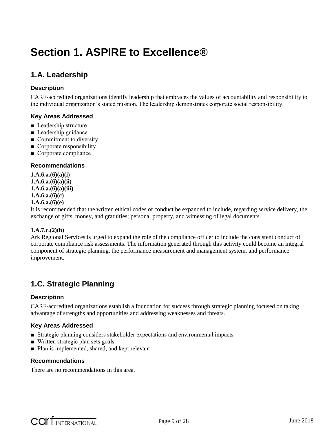## **Section 1. ASPIRE to Excellence®**

## **1.A. Leadership**

#### **Description**

CARF-accredited organizations identify leadership that embraces the values of accountability and responsibility to the individual organization's stated mission. The leadership demonstrates corporate social responsibility.

#### **Key Areas Addressed**

- Leadership structure
- Leadership guidance
- Commitment to diversity
- Corporate responsibility
- Corporate compliance

#### **Recommendations**

**1.A.6.a.(6)(a)(i) 1.A.6.a.(6)(a)(ii) 1.A.6.a.(6)(a)(iii) 1.A.6.a.(6)(c) 1.A.6.a.(6)(e)**

It is recommended that the written ethical codes of conduct be expanded to include, regarding service delivery, the exchange of gifts, money, and gratuities; personal property, and witnessing of legal documents.

#### **1.A.7.c.(2)(b)**

Ark Regional Services is urged to expand the role of the compliance officer to include the consistent conduct of corporate compliance risk assessments. The information generated through this activity could become an integral component of strategic planning, the performance measurement and management system, and performance improvement.

## **1.C. Strategic Planning**

#### **Description**

CARF-accredited organizations establish a foundation for success through strategic planning focused on taking advantage of strengths and opportunities and addressing weaknesses and threats.

#### **Key Areas Addressed**

- Strategic planning considers stakeholder expectations and environmental impacts
- Written strategic plan sets goals
- Plan is implemented, shared, and kept relevant

#### **Recommendations**

There are no recommendations in this area.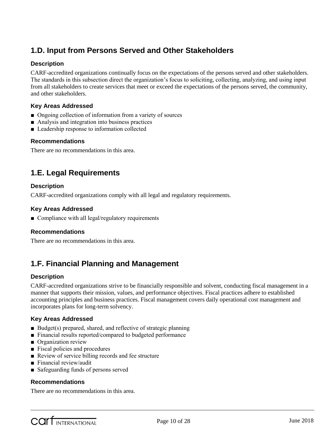## **1.D. Input from Persons Served and Other Stakeholders**

#### **Description**

CARF-accredited organizations continually focus on the expectations of the persons served and other stakeholders. The standards in this subsection direct the organization's focus to soliciting, collecting, analyzing, and using input from all stakeholders to create services that meet or exceed the expectations of the persons served, the community, and other stakeholders.

#### **Key Areas Addressed**

- Ongoing collection of information from a variety of sources
- Analysis and integration into business practices
- Leadership response to information collected

#### **Recommendations**

There are no recommendations in this area.

## **1.E. Legal Requirements**

#### **Description**

CARF-accredited organizations comply with all legal and regulatory requirements.

#### **Key Areas Addressed**

■ Compliance with all legal/regulatory requirements

#### **Recommendations**

There are no recommendations in this area.

### **1.F. Financial Planning and Management**

#### **Description**

CARF-accredited organizations strive to be financially responsible and solvent, conducting fiscal management in a manner that supports their mission, values, and performance objectives. Fiscal practices adhere to established accounting principles and business practices. Fiscal management covers daily operational cost management and incorporates plans for long-term solvency.

#### **Key Areas Addressed**

- Budget(s) prepared, shared, and reflective of strategic planning
- Financial results reported/compared to budgeted performance
- Organization review
- Fiscal policies and procedures
- Review of service billing records and fee structure
- Financial review/audit
- Safeguarding funds of persons served

#### **Recommendations**

There are no recommendations in this area.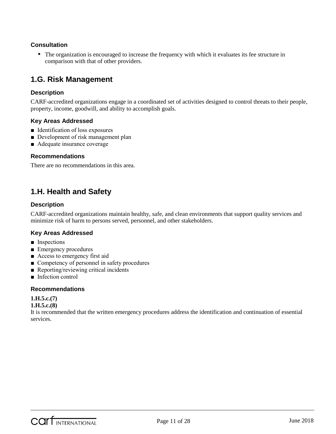#### **Consultation**

• The organization is encouraged to increase the frequency with which it evaluates its fee structure in comparison with that of other providers.

### **1.G. Risk Management**

#### **Description**

CARF-accredited organizations engage in a coordinated set of activities designed to control threats to their people, property, income, goodwill, and ability to accomplish goals.

#### **Key Areas Addressed**

- Identification of loss exposures
- Development of risk management plan
- Adequate insurance coverage

#### **Recommendations**

There are no recommendations in this area.

## **1.H. Health and Safety**

#### **Description**

CARF-accredited organizations maintain healthy, safe, and clean environments that support quality services and minimize risk of harm to persons served, personnel, and other stakeholders.

#### **Key Areas Addressed**

- Inspections
- Emergency procedures
- Access to emergency first aid
- Competency of personnel in safety procedures
- Reporting/reviewing critical incidents
- Infection control

#### **Recommendations**

#### **1.H.5.c.(7)**

#### **1.H.5.c.(8)**

It is recommended that the written emergency procedures address the identification and continuation of essential services.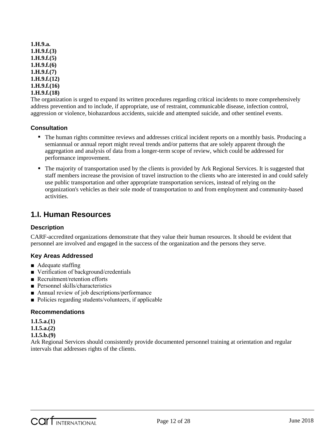```
1.H.9.a.
1.H.9.f.(3)
1.H.9.f.(5)
1.H.9.f.(6)
1.H.9.f.(7)
1.H.9.f.(12)
1.H.9.f.(16)
1.H.9.f.(18)
```
The organization is urged to expand its written procedures regarding critical incidents to more comprehensively address prevention and to include, if appropriate, use of restraint, communicable disease, infection control, aggression or violence, biohazardous accidents, suicide and attempted suicide, and other sentinel events.

#### **Consultation**

- The human rights committee reviews and addresses critical incident reports on a monthly basis. Producing a semiannual or annual report might reveal trends and/or patterns that are solely apparent through the aggregation and analysis of data from a longer-term scope of review, which could be addressed for performance improvement.
- The majority of transportation used by the clients is provided by Ark Regional Services. It is suggested that staff members increase the provision of travel instruction to the clients who are interested in and could safely use public transportation and other appropriate transportation services, instead of relying on the organization's vehicles as their sole mode of transportation to and from employment and community-based activities.

### **1.I. Human Resources**

#### **Description**

CARF-accredited organizations demonstrate that they value their human resources. It should be evident that personnel are involved and engaged in the success of the organization and the persons they serve.

#### **Key Areas Addressed**

- Adequate staffing
- Verification of background/credentials
- Recruitment/retention efforts
- Personnel skills/characteristics
- Annual review of job descriptions/performance
- Policies regarding students/volunteers, if applicable

#### **Recommendations**

**1.I.5.a.(1)**

**1.I.5.a.(2)**

#### **1.I.5.b.(9)**

Ark Regional Services should consistently provide documented personnel training at orientation and regular intervals that addresses rights of the clients.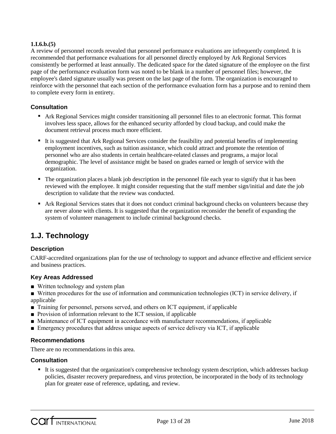#### **1.I.6.b.(5)**

A review of personnel records revealed that personnel performance evaluations are infrequently completed. It is recommended that performance evaluations for all personnel directly employed by Ark Regional Services consistently be performed at least annually. The dedicated space for the dated signature of the employee on the first page of the performance evaluation form was noted to be blank in a number of personnel files; however, the employee's dated signature usually was present on the last page of the form. The organization is encouraged to reinforce with the personnel that each section of the performance evaluation form has a purpose and to remind them to complete every form in entirety.

#### **Consultation**

- Ark Regional Services might consider transitioning all personnel files to an electronic format. This format involves less space, allows for the enhanced security afforded by cloud backup, and could make the document retrieval process much more efficient.
- It is suggested that Ark Regional Services consider the feasibility and potential benefits of implementing employment incentives, such as tuition assistance, which could attract and promote the retention of personnel who are also students in certain healthcare-related classes and programs, a major local demographic. The level of assistance might be based on grades earned or length of service with the organization.
- The organization places a blank job description in the personnel file each year to signify that it has been reviewed with the employee. It might consider requesting that the staff member sign/initial and date the job description to validate that the review was conducted.
- Ark Regional Services states that it does not conduct criminal background checks on volunteers because they are never alone with clients. It is suggested that the organization reconsider the benefit of expanding the system of volunteer management to include criminal background checks.

### **1.J. Technology**

#### **Description**

CARF-accredited organizations plan for the use of technology to support and advance effective and efficient service and business practices.

#### **Key Areas Addressed**

- Written technology and system plan
- Written procedures for the use of information and communication technologies (ICT) in service delivery, if applicable
- Training for personnel, persons served, and others on ICT equipment, if applicable
- Provision of information relevant to the ICT session, if applicable
- Maintenance of ICT equipment in accordance with manufacturer recommendations, if applicable
- Emergency procedures that address unique aspects of service delivery via ICT, if applicable

#### **Recommendations**

There are no recommendations in this area.

#### **Consultation**

It is suggested that the organization's comprehensive technology system description, which addresses backup policies, disaster recovery preparedness, and virus protection, be incorporated in the body of its technology plan for greater ease of reference, updating, and review.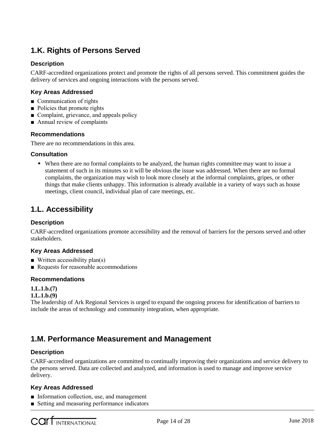## **1.K. Rights of Persons Served**

#### **Description**

CARF-accredited organizations protect and promote the rights of all persons served. This commitment guides the delivery of services and ongoing interactions with the persons served.

#### **Key Areas Addressed**

- Communication of rights
- Policies that promote rights
- Complaint, grievance, and appeals policy
- Annual review of complaints

#### **Recommendations**

There are no recommendations in this area.

#### **Consultation**

 When there are no formal complaints to be analyzed, the human rights committee may want to issue a statement of such in its minutes so it will be obvious the issue was addressed. When there are no formal complaints, the organization may wish to look more closely at the informal complaints, gripes, or other things that make clients unhappy. This information is already available in a variety of ways such as house meetings, client council, individual plan of care meetings, etc.

## **1.L. Accessibility**

#### **Description**

CARF-accredited organizations promote accessibility and the removal of barriers for the persons served and other stakeholders.

#### **Key Areas Addressed**

- $\blacksquare$  Written accessibility plan(s)
- Requests for reasonable accommodations

#### **Recommendations**

#### **1.L.1.b.(7)**

#### **1.L.1.b.(9)**

The leadership of Ark Regional Services is urged to expand the ongoing process for identification of barriers to include the areas of technology and community integration, when appropriate.

### **1.M. Performance Measurement and Management**

#### **Description**

CARF-accredited organizations are committed to continually improving their organizations and service delivery to the persons served. Data are collected and analyzed, and information is used to manage and improve service delivery.

#### **Key Areas Addressed**

- Information collection, use, and management
- Setting and measuring performance indicators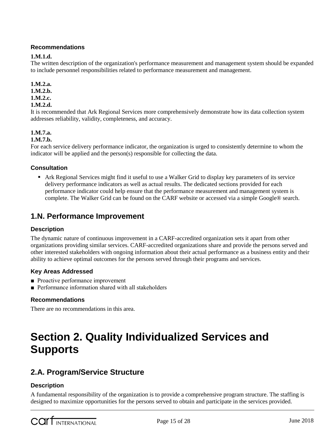#### **Recommendations**

#### **1.M.1.d.**

The written description of the organization's performance measurement and management system should be expanded to include personnel responsibilities related to performance measurement and management.

#### **1.M.2.a.**

#### **1.M.2.b.**

#### **1.M.2.c.**

#### **1.M.2.d.**

It is recommended that Ark Regional Services more comprehensively demonstrate how its data collection system addresses reliability, validity, completeness, and accuracy.

#### **1.M.7.a.**

#### **1.M.7.b.**

For each service delivery performance indicator, the organization is urged to consistently determine to whom the indicator will be applied and the person(s) responsible for collecting the data.

#### **Consultation**

 Ark Regional Services might find it useful to use a Walker Grid to display key parameters of its service delivery performance indicators as well as actual results. The dedicated sections provided for each performance indicator could help ensure that the performance measurement and management system is complete. The Walker Grid can be found on the CARF website or accessed via a simple Google® search.

### **1.N. Performance Improvement**

#### **Description**

The dynamic nature of continuous improvement in a CARF-accredited organization sets it apart from other organizations providing similar services. CARF-accredited organizations share and provide the persons served and other interested stakeholders with ongoing information about their actual performance as a business entity and their ability to achieve optimal outcomes for the persons served through their programs and services.

#### **Key Areas Addressed**

- Proactive performance improvement
- Performance information shared with all stakeholders

#### **Recommendations**

There are no recommendations in this area.

## **Section 2. Quality Individualized Services and Supports**

## **2.A. Program/Service Structure**

#### **Description**

A fundamental responsibility of the organization is to provide a comprehensive program structure. The staffing is designed to maximize opportunities for the persons served to obtain and participate in the services provided.

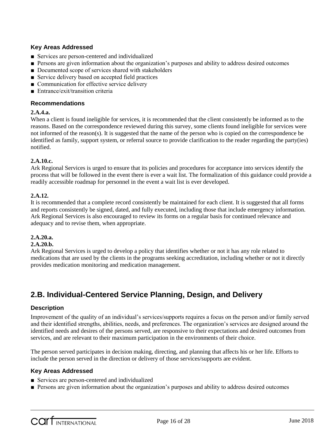#### **Key Areas Addressed**

- Services are person-centered and individualized
- Persons are given information about the organization's purposes and ability to address desired outcomes
- Documented scope of services shared with stakeholders
- Service delivery based on accepted field practices
- Communication for effective service delivery
- Entrance/exit/transition criteria

#### **Recommendations**

#### **2.A.4.a.**

When a client is found ineligible for services, it is recommended that the client consistently be informed as to the reasons. Based on the correspondence reviewed during this survey, some clients found ineligible for services were not informed of the reason(s). It is suggested that the name of the person who is copied on the correspondence be identified as family, support system, or referral source to provide clarification to the reader regarding the party(ies) notified.

#### **2.A.10.c.**

Ark Regional Services is urged to ensure that its policies and procedures for acceptance into services identify the process that will be followed in the event there is ever a wait list. The formalization of this guidance could provide a readily accessible roadmap for personnel in the event a wait list is ever developed.

#### **2.A.12.**

It is recommended that a complete record consistently be maintained for each client. It is suggested that all forms and reports consistently be signed, dated, and fully executed, including those that include emergency information. Ark Regional Services is also encouraged to review its forms on a regular basis for continued relevance and adequacy and to revise them, when appropriate.

#### **2.A.20.a.**

#### **2.A.20.b.**

Ark Regional Services is urged to develop a policy that identifies whether or not it has any role related to medications that are used by the clients in the programs seeking accreditation, including whether or not it directly provides medication monitoring and medication management.

## **2.B. Individual-Centered Service Planning, Design, and Delivery**

#### **Description**

Improvement of the quality of an individual's services/supports requires a focus on the person and/or family served and their identified strengths, abilities, needs, and preferences. The organization's services are designed around the identified needs and desires of the persons served, are responsive to their expectations and desired outcomes from services, and are relevant to their maximum participation in the environments of their choice.

The person served participates in decision making, directing, and planning that affects his or her life. Efforts to include the person served in the direction or delivery of those services/supports are evident.

#### **Key Areas Addressed**

- Services are person-centered and individualized
- Persons are given information about the organization's purposes and ability to address desired outcomes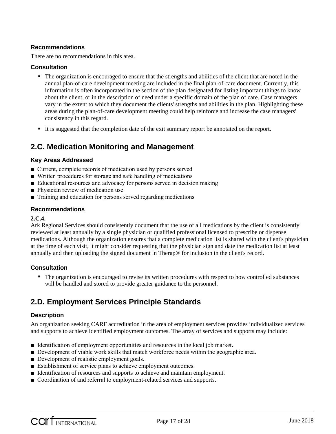#### **Recommendations**

There are no recommendations in this area.

#### **Consultation**

- The organization is encouraged to ensure that the strengths and abilities of the client that are noted in the annual plan-of-care development meeting are included in the final plan-of-care document. Currently, this information is often incorporated in the section of the plan designated for listing important things to know about the client, or in the description of need under a specific domain of the plan of care. Case managers vary in the extent to which they document the clients' strengths and abilities in the plan. Highlighting these areas during the plan-of-care development meeting could help reinforce and increase the case managers' consistency in this regard.
- It is suggested that the completion date of the exit summary report be annotated on the report.

## **2.C. Medication Monitoring and Management**

#### **Key Areas Addressed**

- Current, complete records of medication used by persons served
- Written procedures for storage and safe handling of medications
- Educational resources and advocacy for persons served in decision making
- Physician review of medication use
- Training and education for persons served regarding medications

#### **Recommendations**

#### **2.C.4.**

Ark Regional Services should consistently document that the use of all medications by the client is consistently reviewed at least annually by a single physician or qualified professional licensed to prescribe or dispense medications. Although the organization ensures that a complete medication list is shared with the client's physician at the time of each visit, it might consider requesting that the physician sign and date the medication list at least annually and then uploading the signed document in Therap® for inclusion in the client's record.

#### **Consultation**

• The organization is encouraged to revise its written procedures with respect to how controlled substances will be handled and stored to provide greater guidance to the personnel.

## **2.D. Employment Services Principle Standards**

#### **Description**

An organization seeking CARF accreditation in the area of employment services provides individualized services and supports to achieve identified employment outcomes. The array of services and supports may include:

- Identification of employment opportunities and resources in the local job market.
- Development of viable work skills that match workforce needs within the geographic area.
- Development of realistic employment goals.
- Establishment of service plans to achieve employment outcomes.
- Identification of resources and supports to achieve and maintain employment.
- Coordination of and referral to employment-related services and supports.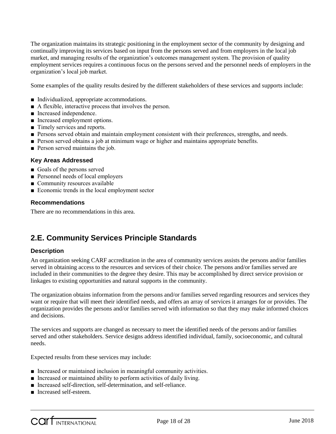The organization maintains its strategic positioning in the employment sector of the community by designing and continually improving its services based on input from the persons served and from employers in the local job market, and managing results of the organization's outcomes management system. The provision of quality employment services requires a continuous focus on the persons served and the personnel needs of employers in the organization's local job market.

Some examples of the quality results desired by the different stakeholders of these services and supports include:

- Individualized, appropriate accommodations.
- A flexible, interactive process that involves the person.
- Increased independence.
- Increased employment options.
- Timely services and reports.
- Persons served obtain and maintain employment consistent with their preferences, strengths, and needs.
- Person served obtains a job at minimum wage or higher and maintains appropriate benefits.
- Person served maintains the job.

#### **Key Areas Addressed**

- Goals of the persons served
- Personnel needs of local employers
- Community resources available
- Economic trends in the local employment sector

#### **Recommendations**

There are no recommendations in this area.

## **2.E. Community Services Principle Standards**

#### **Description**

An organization seeking CARF accreditation in the area of community services assists the persons and/or families served in obtaining access to the resources and services of their choice. The persons and/or families served are included in their communities to the degree they desire. This may be accomplished by direct service provision or linkages to existing opportunities and natural supports in the community.

The organization obtains information from the persons and/or families served regarding resources and services they want or require that will meet their identified needs, and offers an array of services it arranges for or provides. The organization provides the persons and/or families served with information so that they may make informed choices and decisions.

The services and supports are changed as necessary to meet the identified needs of the persons and/or families served and other stakeholders. Service designs address identified individual, family, socioeconomic, and cultural needs.

Expected results from these services may include:

- Increased or maintained inclusion in meaningful community activities.
- Increased or maintained ability to perform activities of daily living.
- Increased self-direction, self-determination, and self-reliance.
- Increased self-esteem.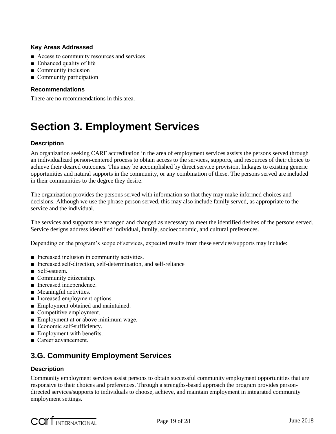#### **Key Areas Addressed**

- Access to community resources and services
- Enhanced quality of life
- Community inclusion
- Community participation

#### **Recommendations**

There are no recommendations in this area.

## **Section 3. Employment Services**

#### **Description**

An organization seeking CARF accreditation in the area of employment services assists the persons served through an individualized person-centered process to obtain access to the services, supports, and resources of their choice to achieve their desired outcomes. This may be accomplished by direct service provision, linkages to existing generic opportunities and natural supports in the community, or any combination of these. The persons served are included in their communities to the degree they desire.

The organization provides the persons served with information so that they may make informed choices and decisions. Although we use the phrase person served, this may also include family served, as appropriate to the service and the individual.

The services and supports are arranged and changed as necessary to meet the identified desires of the persons served. Service designs address identified individual, family, socioeconomic, and cultural preferences.

Depending on the program's scope of services, expected results from these services/supports may include:

- Increased inclusion in community activities.
- Increased self-direction, self-determination, and self-reliance
- Self-esteem.
- Community citizenship.
- Increased independence.
- Meaningful activities.
- Increased employment options.
- Employment obtained and maintained.
- Competitive employment.
- Employment at or above minimum wage.
- Economic self-sufficiency.
- Employment with benefits.
- Career advancement.

## **3.G. Community Employment Services**

#### **Description**

Community employment services assist persons to obtain successful community employment opportunities that are responsive to their choices and preferences. Through a strengths-based approach the program provides persondirected services/supports to individuals to choose, achieve, and maintain employment in integrated community employment settings.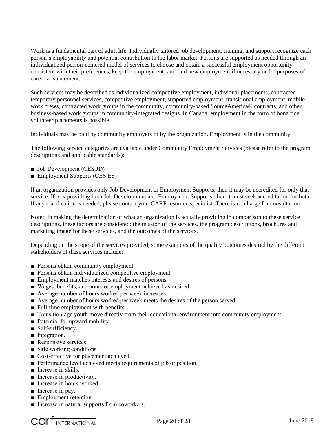Work is a fundamental part of adult life. Individually tailored job development, training, and support recognize each person's employability and potential contribution to the labor market. Persons are supported as needed through an individualized person-centered model of services to choose and obtain a successful employment opportunity consistent with their preferences, keep the employment, and find new employment if necessary or for purposes of career advancement.

Such services may be described as individualized competitive employment, individual placements, contracted temporary personnel services, competitive employment, supported employment, transitional employment, mobile work crews, contracted work groups in the community, community-based SourceAmerica® contracts, and other business-based work groups in community-integrated designs. In Canada, employment in the form of bona fide volunteer placements is possible.

Individuals may be paid by community employers or by the organization. Employment is in the community.

The following service categories are available under Community Employment Services (please refer to the program descriptions and applicable standards):

- Job Development (CES:JD)
- Employment Supports (CES:ES)

If an organization provides only Job Development or Employment Supports, then it may be accredited for only that service. If it is providing both Job Development and Employment Supports, then it must seek accreditation for both. If any clarification is needed, please contact your CARF resource specialist. There is no charge for consultation.

Note: In making the determination of what an organization is actually providing in comparison to these service descriptions, these factors are considered: the mission of the services, the program descriptions, brochures and marketing image for these services, and the outcomes of the services.

Depending on the scope of the services provided, some examples of the quality outcomes desired by the different stakeholders of these services include:

- Persons obtain community employment.
- Persons obtain individualized competitive employment.
- Employment matches interests and desires of persons.
- Wages, benefits, and hours of employment achieved as desired.
- Average number of hours worked per week increases.
- Average number of hours worked per week meets the desires of the person served.
- Full-time employment with benefits.
- Transition-age youth move directly from their educational environment into community employment.
- Potential for upward mobility.
- Self-sufficiency.
- Integration.
- Responsive services.
- Safe working conditions.
- Cost-effective for placement achieved.
- Performance level achieved meets requirements of job or position.
- Increase in skills.
- Increase in productivity.
- Increase in hours worked.
- Increase in pay.
- Employment retention.
- Increase in natural supports from coworkers.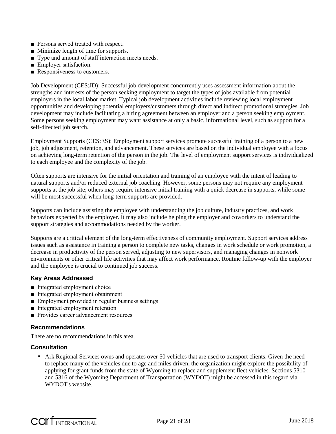- Persons served treated with respect.
- Minimize length of time for supports.
- Type and amount of staff interaction meets needs.
- Employer satisfaction.
- Responsiveness to customers.

Job Development (CES:JD): Successful job development concurrently uses assessment information about the strengths and interests of the person seeking employment to target the types of jobs available from potential employers in the local labor market. Typical job development activities include reviewing local employment opportunities and developing potential employers/customers through direct and indirect promotional strategies. Job development may include facilitating a hiring agreement between an employer and a person seeking employment. Some persons seeking employment may want assistance at only a basic, informational level, such as support for a self-directed job search.

Employment Supports (CES:ES): Employment support services promote successful training of a person to a new job, job adjustment, retention, and advancement. These services are based on the individual employee with a focus on achieving long-term retention of the person in the job. The level of employment support services is individualized to each employee and the complexity of the job.

Often supports are intensive for the initial orientation and training of an employee with the intent of leading to natural supports and/or reduced external job coaching. However, some persons may not require any employment supports at the job site; others may require intensive initial training with a quick decrease in supports, while some will be most successful when long-term supports are provided.

Supports can include assisting the employee with understanding the job culture, industry practices, and work behaviors expected by the employer. It may also include helping the employer and coworkers to understand the support strategies and accommodations needed by the worker.

Supports are a critical element of the long-term effectiveness of community employment. Support services address issues such as assistance in training a person to complete new tasks, changes in work schedule or work promotion, a decrease in productivity of the person served, adjusting to new supervisors, and managing changes in nonwork environments or other critical life activities that may affect work performance. Routine follow-up with the employer and the employee is crucial to continued job success.

#### **Key Areas Addressed**

- Integrated employment choice
- Integrated employment obtainment
- Employment provided in regular business settings
- Integrated employment retention
- Provides career advancement resources

#### **Recommendations**

There are no recommendations in this area.

#### **Consultation**

 Ark Regional Services owns and operates over 50 vehicles that are used to transport clients. Given the need to replace many of the vehicles due to age and miles driven, the organization might explore the possibility of applying for grant funds from the state of Wyoming to replace and supplement fleet vehicles. Sections 5310 and 5316 of the Wyoming Department of Transportation (WYDOT) might be accessed in this regard via WYDOT's website.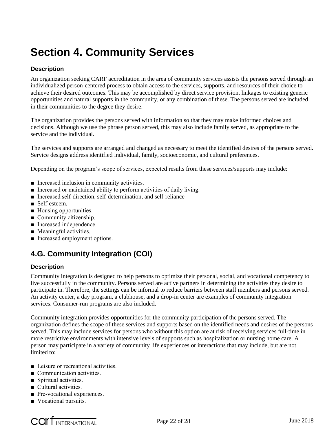## **Section 4. Community Services**

#### **Description**

An organization seeking CARF accreditation in the area of community services assists the persons served through an individualized person-centered process to obtain access to the services, supports, and resources of their choice to achieve their desired outcomes. This may be accomplished by direct service provision, linkages to existing generic opportunities and natural supports in the community, or any combination of these. The persons served are included in their communities to the degree they desire.

The organization provides the persons served with information so that they may make informed choices and decisions. Although we use the phrase person served, this may also include family served, as appropriate to the service and the individual.

The services and supports are arranged and changed as necessary to meet the identified desires of the persons served. Service designs address identified individual, family, socioeconomic, and cultural preferences.

Depending on the program's scope of services, expected results from these services/supports may include:

- Increased inclusion in community activities.
- Increased or maintained ability to perform activities of daily living.
- Increased self-direction, self-determination, and self-reliance
- Self-esteem.
- Housing opportunities.
- Community citizenship.
- Increased independence.
- Meaningful activities.
- Increased employment options.

## **4.G. Community Integration (COI)**

#### **Description**

Community integration is designed to help persons to optimize their personal, social, and vocational competency to live successfully in the community. Persons served are active partners in determining the activities they desire to participate in. Therefore, the settings can be informal to reduce barriers between staff members and persons served. An activity center, a day program, a clubhouse, and a drop-in center are examples of community integration services. Consumer-run programs are also included.

Community integration provides opportunities for the community participation of the persons served. The organization defines the scope of these services and supports based on the identified needs and desires of the persons served. This may include services for persons who without this option are at risk of receiving services full-time in more restrictive environments with intensive levels of supports such as hospitalization or nursing home care. A person may participate in a variety of community life experiences or interactions that may include, but are not limited to:

- Leisure or recreational activities.
- Communication activities.
- Spiritual activities.
- Cultural activities.
- Pre-vocational experiences.
- Vocational pursuits.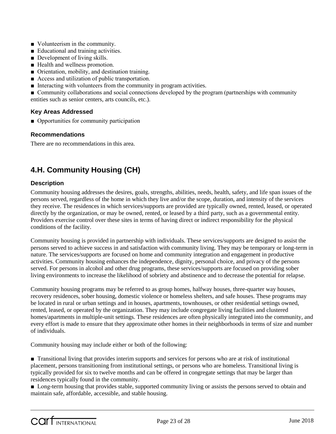- Volunteerism in the community.
- Educational and training activities.
- Development of living skills.
- Health and wellness promotion.
- Orientation, mobility, and destination training.
- Access and utilization of public transportation.
- Interacting with volunteers from the community in program activities.

■ Community collaborations and social connections developed by the program (partnerships with community entities such as senior centers, arts councils, etc.).

#### **Key Areas Addressed**

■ Opportunities for community participation

#### **Recommendations**

There are no recommendations in this area.

## **4.H. Community Housing (CH)**

#### **Description**

Community housing addresses the desires, goals, strengths, abilities, needs, health, safety, and life span issues of the persons served, regardless of the home in which they live and/or the scope, duration, and intensity of the services they receive. The residences in which services/supports are provided are typically owned, rented, leased, or operated directly by the organization, or may be owned, rented, or leased by a third party, such as a governmental entity. Providers exercise control over these sites in terms of having direct or indirect responsibility for the physical conditions of the facility.

Community housing is provided in partnership with individuals. These services/supports are designed to assist the persons served to achieve success in and satisfaction with community living. They may be temporary or long-term in nature. The services/supports are focused on home and community integration and engagement in productive activities. Community housing enhances the independence, dignity, personal choice, and privacy of the persons served. For persons in alcohol and other drug programs, these services/supports are focused on providing sober living environments to increase the likelihood of sobriety and abstinence and to decrease the potential for relapse.

Community housing programs may be referred to as group homes, halfway houses, three-quarter way houses, recovery residences, sober housing, domestic violence or homeless shelters, and safe houses. These programs may be located in rural or urban settings and in houses, apartments, townhouses, or other residential settings owned, rented, leased, or operated by the organization. They may include congregate living facilities and clustered homes/apartments in multiple-unit settings. These residences are often physically integrated into the community, and every effort is made to ensure that they approximate other homes in their neighborhoods in terms of size and number of individuals.

Community housing may include either or both of the following:

■ Transitional living that provides interim supports and services for persons who are at risk of institutional placement, persons transitioning from institutional settings, or persons who are homeless. Transitional living is typically provided for six to twelve months and can be offered in congregate settings that may be larger than residences typically found in the community.

■ Long-term housing that provides stable, supported community living or assists the persons served to obtain and maintain safe, affordable, accessible, and stable housing.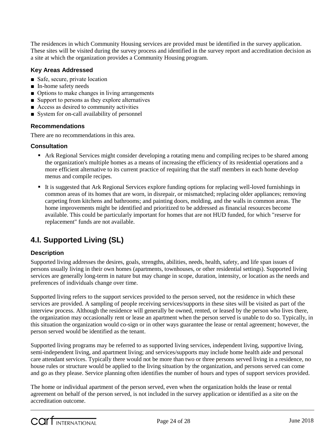The residences in which Community Housing services are provided must be identified in the survey application. These sites will be visited during the survey process and identified in the survey report and accreditation decision as a site at which the organization provides a Community Housing program.

#### **Key Areas Addressed**

- Safe, secure, private location
- In-home safety needs
- Options to make changes in living arrangements
- Support to persons as they explore alternatives
- Access as desired to community activities
- System for on-call availability of personnel

#### **Recommendations**

There are no recommendations in this area.

#### **Consultation**

- Ark Regional Services might consider developing a rotating menu and compiling recipes to be shared among the organization's multiple homes as a means of increasing the efficiency of its residential operations and a more efficient alternative to its current practice of requiring that the staff members in each home develop menus and compile recipes.
- It is suggested that Ark Regional Services explore funding options for replacing well-loved furnishings in common areas of its homes that are worn, in disrepair, or mismatched; replacing older appliances; removing carpeting from kitchens and bathrooms; and painting doors, molding, and the walls in common areas. The home improvements might be identified and prioritized to be addressed as financial resources become available. This could be particularly important for homes that are not HUD funded, for which "reserve for replacement" funds are not available.

## **4.I. Supported Living (SL)**

#### **Description**

Supported living addresses the desires, goals, strengths, abilities, needs, health, safety, and life span issues of persons usually living in their own homes (apartments, townhouses, or other residential settings). Supported living services are generally long-term in nature but may change in scope, duration, intensity, or location as the needs and preferences of individuals change over time.

Supported living refers to the support services provided to the person served, not the residence in which these services are provided. A sampling of people receiving services/supports in these sites will be visited as part of the interview process. Although the residence will generally be owned, rented, or leased by the person who lives there, the organization may occasionally rent or lease an apartment when the person served is unable to do so. Typically, in this situation the organization would co-sign or in other ways guarantee the lease or rental agreement; however, the person served would be identified as the tenant.

Supported living programs may be referred to as supported living services, independent living, supportive living, semi-independent living, and apartment living; and services/supports may include home health aide and personal care attendant services. Typically there would not be more than two or three persons served living in a residence, no house rules or structure would be applied to the living situation by the organization, and persons served can come and go as they please. Service planning often identifies the number of hours and types of support services provided.

The home or individual apartment of the person served, even when the organization holds the lease or rental agreement on behalf of the person served, is not included in the survey application or identified as a site on the accreditation outcome.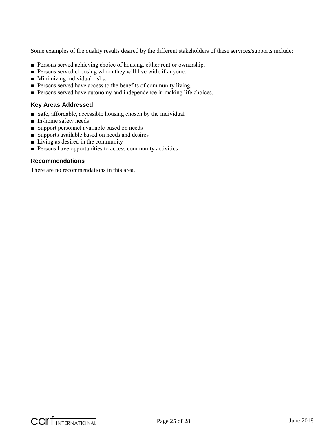Some examples of the quality results desired by the different stakeholders of these services/supports include:

- Persons served achieving choice of housing, either rent or ownership.
- Persons served choosing whom they will live with, if anyone.
- Minimizing individual risks.
- Persons served have access to the benefits of community living.
- Persons served have autonomy and independence in making life choices.

#### **Key Areas Addressed**

- Safe, affordable, accessible housing chosen by the individual
- In-home safety needs
- Support personnel available based on needs
- Supports available based on needs and desires
- Living as desired in the community
- Persons have opportunities to access community activities

#### **Recommendations**

There are no recommendations in this area.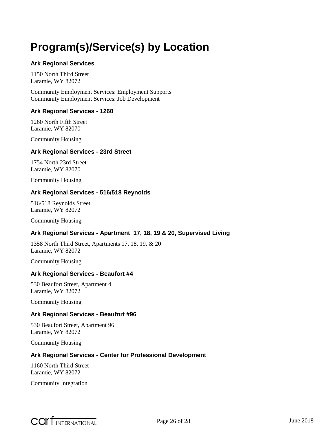## <span id="page-25-0"></span>**Program(s)/Service(s) by Location**

#### **Ark Regional Services**

1150 North Third Street Laramie, WY 82072

Community Employment Services: Employment Supports Community Employment Services: Job Development

#### **Ark Regional Services - 1260**

1260 North Fifth Street Laramie, WY 82070

Community Housing

#### **Ark Regional Services - 23rd Street**

1754 North 23rd Street Laramie, WY 82070

Community Housing

#### **Ark Regional Services - 516/518 Reynolds**

516/518 Reynolds Street Laramie, WY 82072

Community Housing

#### **Ark Regional Services - Apartment 17, 18, 19 & 20, Supervised Living**

1358 North Third Street, Apartments 17, 18, 19, & 20 Laramie, WY 82072

Community Housing

#### **Ark Regional Services - Beaufort #4**

530 Beaufort Street, Apartment 4 Laramie, WY 82072

Community Housing

#### **Ark Regional Services - Beaufort #96**

530 Beaufort Street, Apartment 96 Laramie, WY 82072

Community Housing

#### **Ark Regional Services - Center for Professional Development**

1160 North Third Street Laramie, WY 82072

Community Integration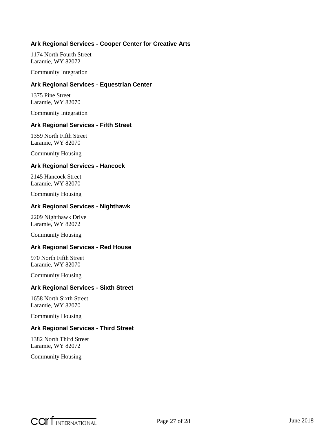#### **Ark Regional Services - Cooper Center for Creative Arts**

1174 North Fourth Street Laramie, WY 82072

Community Integration

#### **Ark Regional Services - Equestrian Center**

1375 Pine Street Laramie, WY 82070

Community Integration

#### **Ark Regional Services - Fifth Street**

1359 North Fifth Street Laramie, WY 82070

Community Housing

#### **Ark Regional Services - Hancock**

2145 Hancock Street Laramie, WY 82070

Community Housing

#### **Ark Regional Services - Nighthawk**

2209 Nighthawk Drive Laramie, WY 82072

Community Housing

#### **Ark Regional Services - Red House**

970 North Fifth Street Laramie, WY 82070

Community Housing

#### **Ark Regional Services - Sixth Street**

1658 North Sixth Street Laramie, WY 82070

Community Housing

#### **Ark Regional Services - Third Street**

1382 North Third Street Laramie, WY 82072

Community Housing